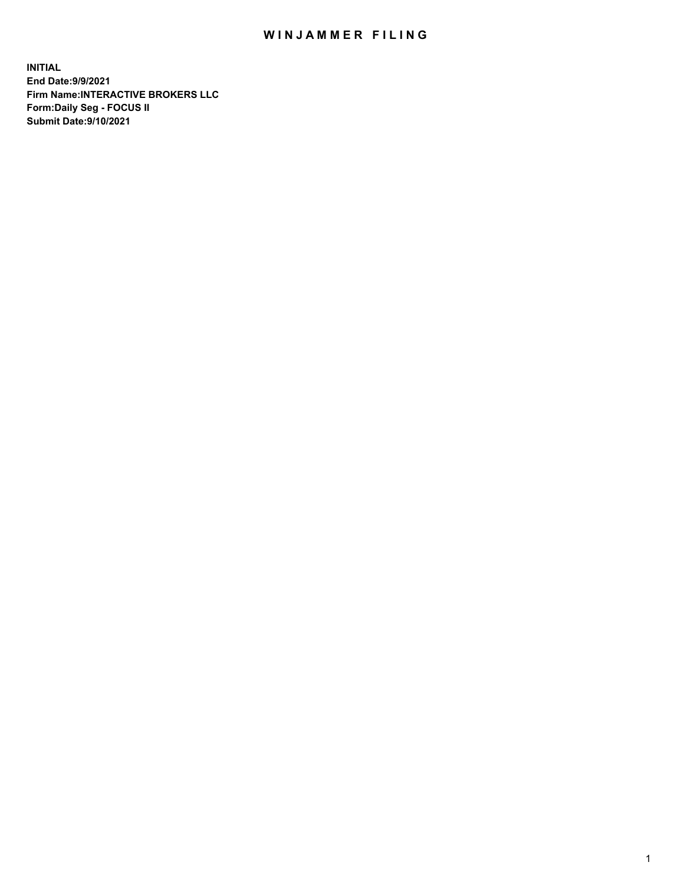## WIN JAMMER FILING

**INITIAL End Date:9/9/2021 Firm Name:INTERACTIVE BROKERS LLC Form:Daily Seg - FOCUS II Submit Date:9/10/2021**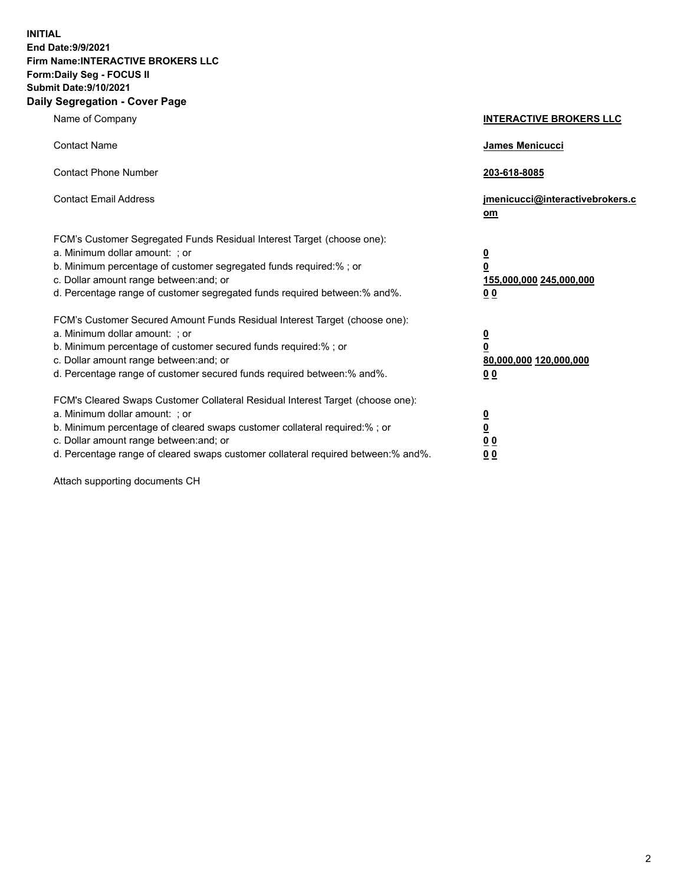**INITIAL End Date:9/9/2021 Firm Name:INTERACTIVE BROKERS LLC Form:Daily Seg - FOCUS II Submit Date:9/10/2021 Daily Segregation - Cover Page**

| Name of Company                                                                                                                                                                                                                                                                                                                | <b>INTERACTIVE BROKERS LLC</b>                                                                  |
|--------------------------------------------------------------------------------------------------------------------------------------------------------------------------------------------------------------------------------------------------------------------------------------------------------------------------------|-------------------------------------------------------------------------------------------------|
| <b>Contact Name</b>                                                                                                                                                                                                                                                                                                            | James Menicucci                                                                                 |
| <b>Contact Phone Number</b>                                                                                                                                                                                                                                                                                                    | 203-618-8085                                                                                    |
| <b>Contact Email Address</b>                                                                                                                                                                                                                                                                                                   | jmenicucci@interactivebrokers.c<br>$om$                                                         |
| FCM's Customer Segregated Funds Residual Interest Target (choose one):<br>a. Minimum dollar amount: ; or<br>b. Minimum percentage of customer segregated funds required:% ; or<br>c. Dollar amount range between: and; or<br>d. Percentage range of customer segregated funds required between:% and%.                         | $\overline{\mathbf{0}}$<br>$\overline{\mathbf{0}}$<br>155,000,000 245,000,000<br>0 <sub>0</sub> |
| FCM's Customer Secured Amount Funds Residual Interest Target (choose one):<br>a. Minimum dollar amount: ; or<br>b. Minimum percentage of customer secured funds required:%; or<br>c. Dollar amount range between: and; or<br>d. Percentage range of customer secured funds required between:% and%.                            | $\overline{\mathbf{0}}$<br>$\overline{\mathbf{0}}$<br>80,000,000 120,000,000<br>0 <sub>0</sub>  |
| FCM's Cleared Swaps Customer Collateral Residual Interest Target (choose one):<br>a. Minimum dollar amount: ; or<br>b. Minimum percentage of cleared swaps customer collateral required:% ; or<br>c. Dollar amount range between: and; or<br>d. Percentage range of cleared swaps customer collateral required between:% and%. | $\overline{\mathbf{0}}$<br><u>0</u><br>0 <sub>0</sub><br>0 <sub>0</sub>                         |

Attach supporting documents CH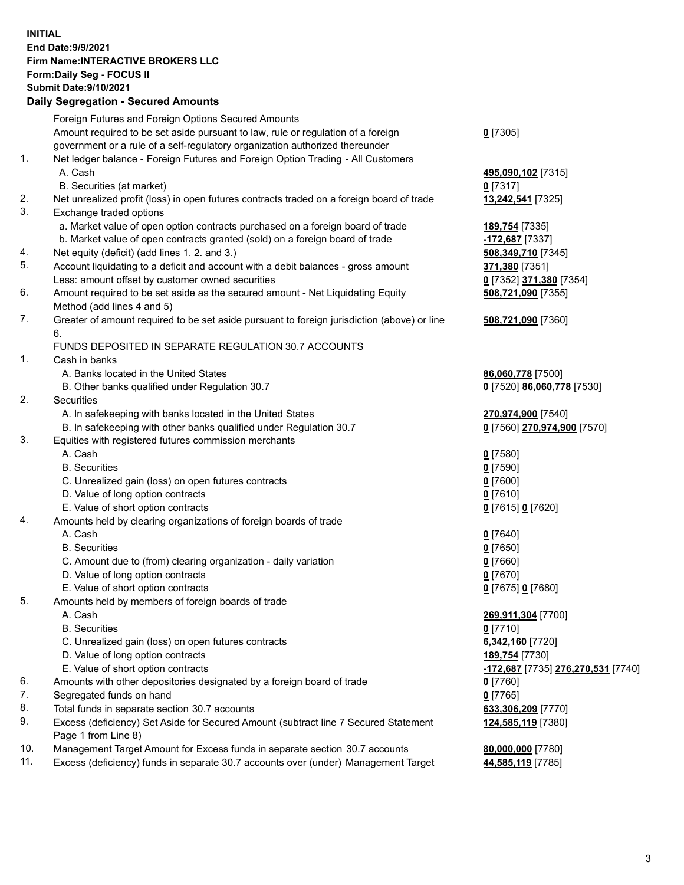## **INITIAL End Date:9/9/2021 Firm Name:INTERACTIVE BROKERS LLC Form:Daily Seg - FOCUS II Submit Date:9/10/2021 Daily Segregation - Secured Amounts**

|     | Daily Segregation - Secured Amounts                                                                        |                                    |
|-----|------------------------------------------------------------------------------------------------------------|------------------------------------|
|     | Foreign Futures and Foreign Options Secured Amounts                                                        |                                    |
|     | Amount required to be set aside pursuant to law, rule or regulation of a foreign                           | $0$ [7305]                         |
|     | government or a rule of a self-regulatory organization authorized thereunder                               |                                    |
| 1.  | Net ledger balance - Foreign Futures and Foreign Option Trading - All Customers                            |                                    |
|     | A. Cash                                                                                                    | 495,090,102 [7315]                 |
|     | B. Securities (at market)                                                                                  | $0$ [7317]                         |
| 2.  | Net unrealized profit (loss) in open futures contracts traded on a foreign board of trade                  | 13,242,541 [7325]                  |
| 3.  | Exchange traded options                                                                                    |                                    |
|     | a. Market value of open option contracts purchased on a foreign board of trade                             | 189,754 [7335]                     |
|     | b. Market value of open contracts granted (sold) on a foreign board of trade                               | -172,687 [7337]                    |
| 4.  | Net equity (deficit) (add lines 1. 2. and 3.)                                                              | 508,349,710 [7345]                 |
| 5.  | Account liquidating to a deficit and account with a debit balances - gross amount                          | 371,380 [7351]                     |
|     | Less: amount offset by customer owned securities                                                           | 0 [7352] 371,380 [7354]            |
| 6.  | Amount required to be set aside as the secured amount - Net Liquidating Equity                             | 508,721,090 [7355]                 |
|     | Method (add lines 4 and 5)                                                                                 |                                    |
| 7.  | Greater of amount required to be set aside pursuant to foreign jurisdiction (above) or line                | 508,721,090 [7360]                 |
|     | 6.                                                                                                         |                                    |
|     | FUNDS DEPOSITED IN SEPARATE REGULATION 30.7 ACCOUNTS                                                       |                                    |
| 1.  | Cash in banks                                                                                              |                                    |
|     | A. Banks located in the United States                                                                      | 86,060,778 [7500]                  |
|     | B. Other banks qualified under Regulation 30.7                                                             | 0 [7520] 86,060,778 [7530]         |
| 2.  | Securities                                                                                                 |                                    |
|     | A. In safekeeping with banks located in the United States                                                  | 270,974,900 [7540]                 |
|     | B. In safekeeping with other banks qualified under Regulation 30.7                                         | 0 [7560] 270,974,900 [7570]        |
| 3.  | Equities with registered futures commission merchants                                                      |                                    |
|     | A. Cash                                                                                                    | $0$ [7580]                         |
|     | <b>B.</b> Securities                                                                                       | $0$ [7590]                         |
|     | C. Unrealized gain (loss) on open futures contracts                                                        | $0$ [7600]                         |
|     | D. Value of long option contracts                                                                          | $0$ [7610]                         |
|     | E. Value of short option contracts                                                                         | 0 [7615] 0 [7620]                  |
| 4.  | Amounts held by clearing organizations of foreign boards of trade                                          |                                    |
|     | A. Cash                                                                                                    | $Q$ [7640]                         |
|     | <b>B.</b> Securities                                                                                       | $0$ [7650]                         |
|     | C. Amount due to (from) clearing organization - daily variation                                            | $0$ [7660]                         |
|     | D. Value of long option contracts                                                                          | $0$ [7670]                         |
|     | E. Value of short option contracts                                                                         | 0 [7675] 0 [7680]                  |
| 5.  | Amounts held by members of foreign boards of trade                                                         |                                    |
|     | A. Cash                                                                                                    | 269,911,304 [7700]                 |
|     | <b>B.</b> Securities                                                                                       | $0$ [7710]                         |
|     | C. Unrealized gain (loss) on open futures contracts                                                        | 6,342,160 [7720]                   |
|     | D. Value of long option contracts                                                                          | 189,754 [7730]                     |
|     | E. Value of short option contracts                                                                         | -172,687 [7735] 276,270,531 [7740] |
| 6.  | Amounts with other depositories designated by a foreign board of trade                                     | 0 [7760]                           |
| 7.  | Segregated funds on hand                                                                                   | $0$ [7765]                         |
| 8.  | Total funds in separate section 30.7 accounts                                                              | 633,306,209 [7770]                 |
| 9.  | Excess (deficiency) Set Aside for Secured Amount (subtract line 7 Secured Statement<br>Page 1 from Line 8) | 124,585,119 [7380]                 |
| 10. | Management Target Amount for Excess funds in separate section 30.7 accounts                                | 80,000,000 [7780]                  |
| 11. | Excess (deficiency) funds in separate 30.7 accounts over (under) Management Target                         | 44,585,119 [7785]                  |
|     |                                                                                                            |                                    |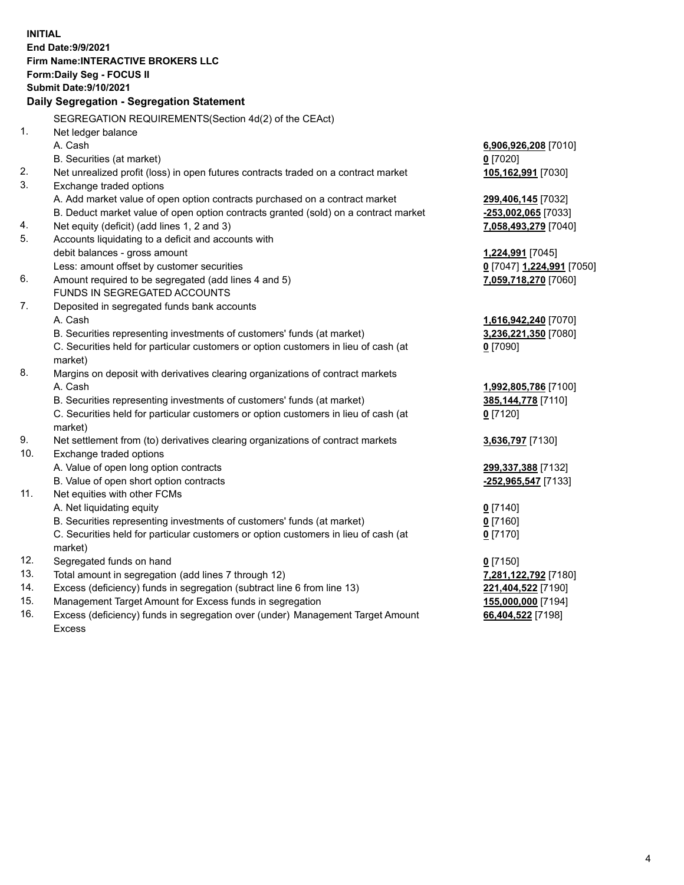**INITIAL End Date:9/9/2021 Firm Name:INTERACTIVE BROKERS LLC Form:Daily Seg - FOCUS II Submit Date:9/10/2021 Daily Segregation - Segregation Statement** SEGREGATION REQUIREMENTS(Section 4d(2) of the CEAct) 1. Net ledger balance A. Cash **6,906,926,208** [7010] B. Securities (at market) **0** [7020] 2. Net unrealized profit (loss) in open futures contracts traded on a contract market **105,162,991** [7030] 3. Exchange traded options A. Add market value of open option contracts purchased on a contract market **299,406,145** [7032] B. Deduct market value of open option contracts granted (sold) on a contract market **-253,002,065** [7033] 4. Net equity (deficit) (add lines 1, 2 and 3) **7,058,493,279** [7040] 5. Accounts liquidating to a deficit and accounts with debit balances - gross amount **1,224,991** [7045] Less: amount offset by customer securities **0** [7047] **1,224,991** [7050] 6. Amount required to be segregated (add lines 4 and 5) **7,059,718,270** [7060] FUNDS IN SEGREGATED ACCOUNTS 7. Deposited in segregated funds bank accounts A. Cash **1,616,942,240** [7070] B. Securities representing investments of customers' funds (at market) **3,236,221,350** [7080] C. Securities held for particular customers or option customers in lieu of cash (at market) **0** [7090] 8. Margins on deposit with derivatives clearing organizations of contract markets A. Cash **1,992,805,786** [7100] B. Securities representing investments of customers' funds (at market) **385,144,778** [7110] C. Securities held for particular customers or option customers in lieu of cash (at market) **0** [7120] 9. Net settlement from (to) derivatives clearing organizations of contract markets **3,636,797** [7130] 10. Exchange traded options A. Value of open long option contracts **299,337,388** [7132] B. Value of open short option contracts **-252,965,547** [7133] 11. Net equities with other FCMs A. Net liquidating equity **0** [7140] B. Securities representing investments of customers' funds (at market) **0** [7160] C. Securities held for particular customers or option customers in lieu of cash (at market) **0** [7170] 12. Segregated funds on hand **0** [7150] 13. Total amount in segregation (add lines 7 through 12) **7,281,122,792** [7180] 14. Excess (deficiency) funds in segregation (subtract line 6 from line 13) **221,404,522** [7190] 15. Management Target Amount for Excess funds in segregation **155,000,000** [7194]

16. Excess (deficiency) funds in segregation over (under) Management Target Amount Excess

**66,404,522** [7198]